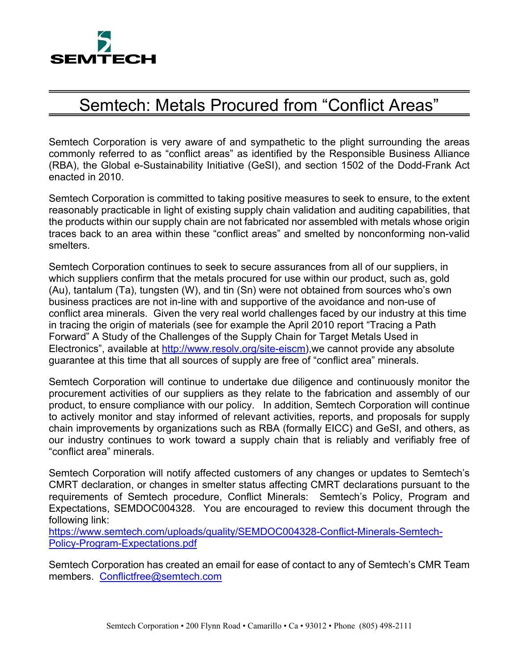

## Semtech: Metals Procured from "Conflict Areas"

Semtech Corporation is very aware of and sympathetic to the plight surrounding the areas commonly referred to as "conflict areas" as identified by the Responsible Business Alliance (RBA), the Global e-Sustainability Initiative (GeSI), and section 1502 of the Dodd-Frank Act enacted in 2010.

Semtech Corporation is committed to taking positive measures to seek to ensure, to the extent reasonably practicable in light of existing supply chain validation and auditing capabilities, that the products within our supply chain are not fabricated nor assembled with metals whose origin traces back to an area within these "conflict areas" and smelted by nonconforming non-valid smelters.

Semtech Corporation continues to seek to secure assurances from all of our suppliers, in which suppliers confirm that the metals procured for use within our product, such as, gold (Au), tantalum (Ta), tungsten (W), and tin (Sn) were not obtained from sources who's own business practices are not in-line with and supportive of the avoidance and non-use of conflict area minerals. Given the very real world challenges faced by our industry at this time in tracing the origin of materials (see for example the April 2010 report "Tracing a Path Forward" A Study of the Challenges of the Supply Chain for Target Metals Used in Electronics", available at http://www.resolv.org/site-eiscm),we cannot provide any absolute guarantee at this time that all sources of supply are free of "conflict area" minerals.

Semtech Corporation will continue to undertake due diligence and continuously monitor the procurement activities of our suppliers as they relate to the fabrication and assembly of our product, to ensure compliance with our policy. In addition, Semtech Corporation will continue to actively monitor and stay informed of relevant activities, reports, and proposals for supply chain improvements by organizations such as RBA (formally EICC) and GeSI, and others, as our industry continues to work toward a supply chain that is reliably and verifiably free of "conflict area" minerals.

Semtech Corporation will notify affected customers of any changes or updates to Semtech's CMRT declaration, or changes in smelter status affecting CMRT declarations pursuant to the requirements of Semtech procedure, Conflict Minerals: Semtech's Policy, Program and Expectations, SEMDOC004328. You are encouraged to review this document through the following link:

https://www.semtech.com/uploads/quality/SEMDOC004328-Conflict-Minerals-Semtech-Policy-Program-Expectations.pdf

Semtech Corporation has created an email for ease of contact to any of Semtech's CMR Team members. Conflictfree@semtech.com